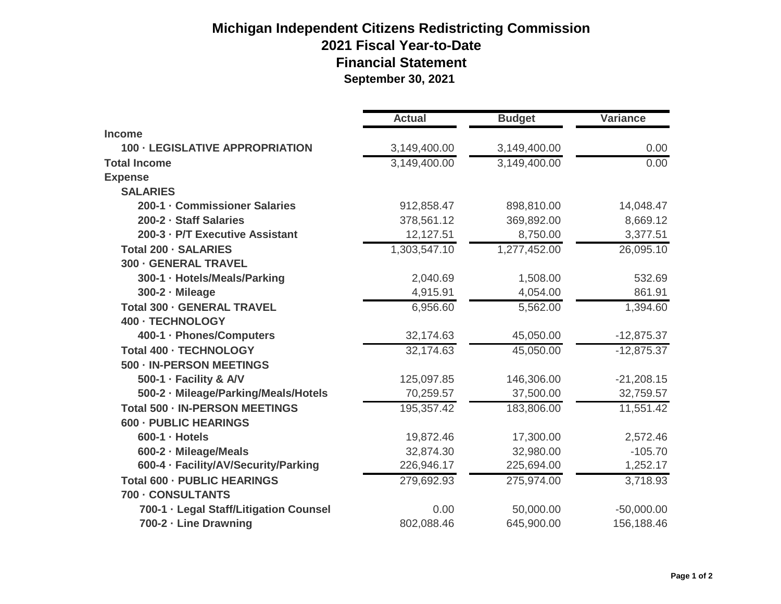## **Michigan Independent Citizens Redistricting Commission 2021 Fiscal Year-to-Date Financial Statement September 30, 2021**

|                                        | <b>Actual</b> | <b>Budget</b> | <b>Variance</b> |
|----------------------------------------|---------------|---------------|-----------------|
| <b>Income</b>                          |               |               |                 |
| <b>100 - LEGISLATIVE APPROPRIATION</b> | 3,149,400.00  | 3,149,400.00  | 0.00            |
| <b>Total Income</b>                    | 3,149,400.00  | 3,149,400.00  | 0.00            |
| <b>Expense</b>                         |               |               |                 |
| <b>SALARIES</b>                        |               |               |                 |
| 200-1 - Commissioner Salaries          | 912,858.47    | 898,810.00    | 14,048.47       |
| 200-2 - Staff Salaries                 | 378,561.12    | 369,892.00    | 8,669.12        |
| 200-3 - P/T Executive Assistant        | 12,127.51     | 8,750.00      | 3,377.51        |
| <b>Total 200 - SALARIES</b>            | 1,303,547.10  | 1,277,452.00  | 26,095.10       |
| <b>300 - GENERAL TRAVEL</b>            |               |               |                 |
| 300-1 · Hotels/Meals/Parking           | 2,040.69      | 1,508.00      | 532.69          |
| 300-2 - Mileage                        | 4,915.91      | 4,054.00      | 861.91          |
| <b>Total 300 - GENERAL TRAVEL</b>      | 6,956.60      | 5,562.00      | 1,394.60        |
| 400 - TECHNOLOGY                       |               |               |                 |
| 400-1 · Phones/Computers               | 32,174.63     | 45,050.00     | $-12,875.37$    |
| <b>Total 400 - TECHNOLOGY</b>          | 32,174.63     | 45,050.00     | $-12,875.37$    |
| 500 - IN-PERSON MEETINGS               |               |               |                 |
| 500-1 · Facility & A/V                 | 125,097.85    | 146,306.00    | $-21,208.15$    |
| 500-2 · Mileage/Parking/Meals/Hotels   | 70,259.57     | 37,500.00     | 32,759.57       |
| <b>Total 500 - IN-PERSON MEETINGS</b>  | 195,357.42    | 183,806.00    | 11,551.42       |
| <b>600 - PUBLIC HEARINGS</b>           |               |               |                 |
| $600-1$ $\cdot$ Hotels                 | 19,872.46     | 17,300.00     | 2,572.46        |
| 600-2 - Mileage/Meals                  | 32,874.30     | 32,980.00     | $-105.70$       |
| 600-4 · Facility/AV/Security/Parking   | 226,946.17    | 225,694.00    | 1,252.17        |
| <b>Total 600 - PUBLIC HEARINGS</b>     | 279,692.93    | 275,974.00    | 3,718.93        |
| 700 - CONSULTANTS                      |               |               |                 |
| 700-1 · Legal Staff/Litigation Counsel | 0.00          | 50,000.00     | $-50,000.00$    |
| 700-2 - Line Drawning                  | 802,088.46    | 645,900.00    | 156,188.46      |